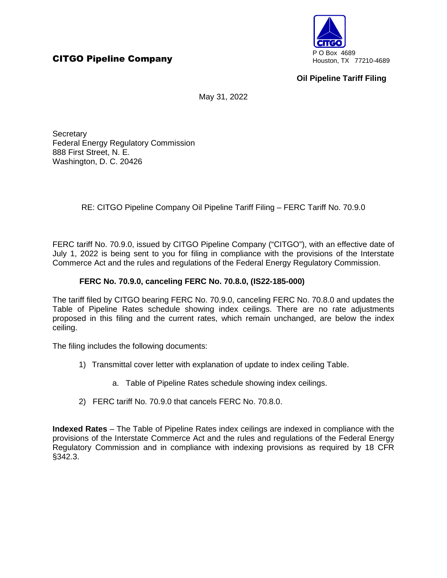

## **Oil Pipeline Tariff Filing**

May 31, 2022

**Secretary** Federal Energy Regulatory Commission 888 First Street, N. E. Washington, D. C. 20426

RE: CITGO Pipeline Company Oil Pipeline Tariff Filing – FERC Tariff No. 70.9.0

FERC tariff No. 70.9.0, issued by CITGO Pipeline Company ("CITGO"), with an effective date of July 1, 2022 is being sent to you for filing in compliance with the provisions of the Interstate Commerce Act and the rules and regulations of the Federal Energy Regulatory Commission.

## **FERC No. 70.9.0, canceling FERC No. 70.8.0, (IS22-185-000)**

The tariff filed by CITGO bearing FERC No. 70.9.0, canceling FERC No. 70.8.0 and updates the Table of Pipeline Rates schedule showing index ceilings. There are no rate adjustments proposed in this filing and the current rates, which remain unchanged, are below the index ceiling.

The filing includes the following documents:

- 1) Transmittal cover letter with explanation of update to index ceiling Table.
	- a. Table of Pipeline Rates schedule showing index ceilings.
- 2) FERC tariff No. 70.9.0 that cancels FERC No. 70.8.0.

**Indexed Rates** – The Table of Pipeline Rates index ceilings are indexed in compliance with the provisions of the Interstate Commerce Act and the rules and regulations of the Federal Energy Regulatory Commission and in compliance with indexing provisions as required by 18 CFR §342.3.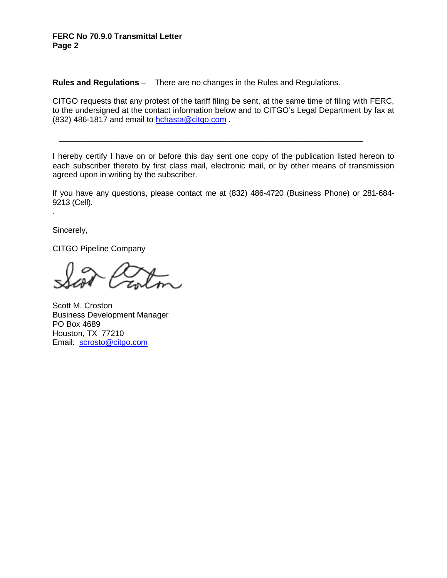## **FERC No 70.9.0 Transmittal Letter Page 2**

**Rules and Regulations** – There are no changes in the Rules and Regulations.

CITGO requests that any protest of the tariff filing be sent, at the same time of filing with FERC, to the undersigned at the contact information below and to CITGO's Legal Department by fax at (832) 486-1817 and email to hchasta@citgo.com .

I hereby certify I have on or before this day sent one copy of the publication listed hereon to each subscriber thereto by first class mail, electronic mail, or by other means of transmission agreed upon in writing by the subscriber.

\_\_\_\_\_\_\_\_\_\_\_\_\_\_\_\_\_\_\_\_\_\_\_\_\_\_\_\_\_\_\_\_\_\_\_\_\_\_\_\_\_\_\_\_\_\_\_\_\_\_\_\_\_\_\_\_\_\_\_\_\_\_\_\_\_\_\_\_

If you have any questions, please contact me at (832) 486-4720 (Business Phone) or 281-684- 9213 (Cell).

Sincerely,

.

CITGO Pipeline Company

Scott M. Croston Business Development Manager PO Box 4689 Houston, TX 77210 Email: scrosto@citgo.com